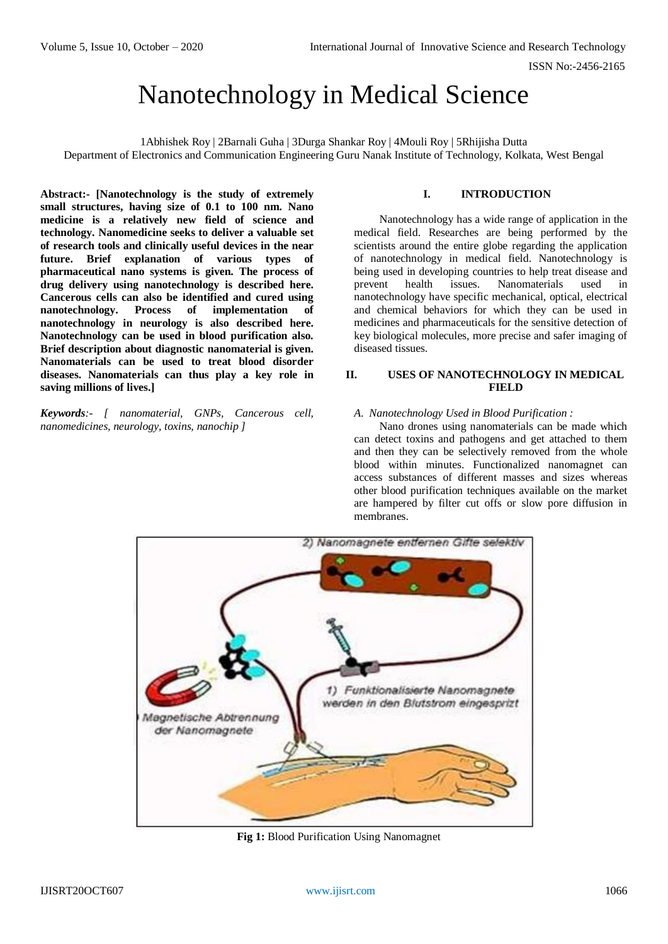# Nanotechnology in Medical Science

1Abhishek Roy | 2Barnali Guha | 3Durga Shankar Roy | 4Mouli Roy | 5Rhijisha Dutta Department of Electronics and Communication Engineering Guru Nanak Institute of Technology, Kolkata, West Bengal

**Abstract:- [Nanotechnology is the study of extremely small structures, having size of 0.1 to 100 nm. Nano medicine is a relatively new field of science and technology. Nanomedicine seeks to deliver a valuable set of research tools and clinically useful devices in the near future. Brief explanation of various types of pharmaceutical nano systems is given. The process of drug delivery using nanotechnology is described here. Cancerous cells can also be identified and cured using nanotechnology. Process of implementation of nanotechnology in neurology is also described here. Nanotechnology can be used in blood purification also. Brief description about diagnostic nanomaterial is given. Nanomaterials can be used to treat blood disorder diseases. Nanomaterials can thus play a key role in saving millions of lives.]**

*Keywords:- [ nanomaterial, GNPs, Cancerous cell, nanomedicines, neurology, toxins, nanochip ]*

# **I. INTRODUCTION**

Nanotechnology has a wide range of application in the medical field. Researches are being performed by the scientists around the entire globe regarding the application of nanotechnology in medical field. Nanotechnology is being used in developing countries to help treat disease and prevent health issues. Nanomaterials used in nanotechnology have specific mechanical, optical, electrical and chemical behaviors for which they can be used in medicines and pharmaceuticals for the sensitive detection of key biological molecules, more precise and safer imaging of diseased tissues.

# **II. USES OF NANOTECHNOLOGY IN MEDICAL FIELD**

## *A. Nanotechnology Used in Blood Purification :*

Nano drones using nanomaterials can be made which can detect toxins and pathogens and get attached to them and then they can be selectively removed from the whole blood within minutes. Functionalized nanomagnet can access substances of different masses and sizes whereas other blood purification techniques available on the market are hampered by filter cut offs or slow pore diffusion in membranes.



**Fig 1:** Blood Purification Using Nanomagnet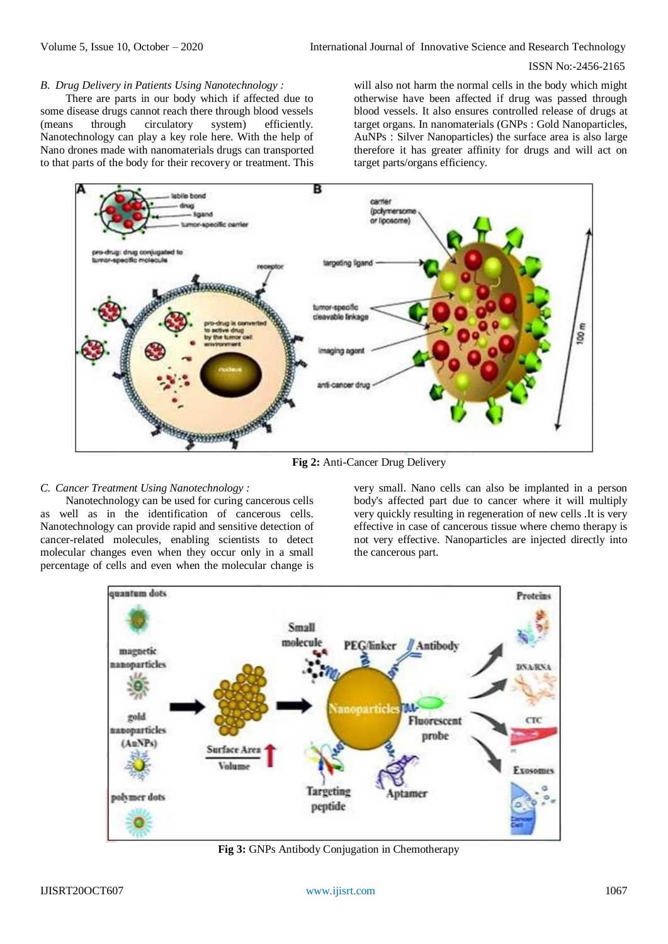### ISSN No:-2456-2165

### *B. Drug Delivery in Patients Using Nanotechnology :*

There are parts in our body which if affected due to some disease drugs cannot reach there through blood vessels (means through circulatory system) efficiently. Nanotechnology can play a key role here. With the help of Nano drones made with nanomaterials drugs can transported to that parts of the body for their recovery or treatment. This will also not harm the normal cells in the body which might otherwise have been affected if drug was passed through blood vessels. It also ensures controlled release of drugs at target organs. In nanomaterials (GNPs : Gold Nanoparticles, AuNPs : Silver Nanoparticles) the surface area is also large therefore it has greater affinity for drugs and will act on target parts/organs efficiency.



#### **Fig 2:** Anti-Cancer Drug Delivery

## *C. Cancer Treatment Using Nanotechnology :*

Nanotechnology can be used for curing cancerous cells as well as in the identification of cancerous cells. Nanotechnology can provide rapid and sensitive detection of cancer-related molecules, enabling scientists to detect molecular changes even when they occur only in a small percentage of cells and even when the molecular change is very small. Nano cells can also be implanted in a person body's affected part due to cancer where it will multiply very quickly resulting in regeneration of new cells .It is very effective in case of cancerous tissue where chemo therapy is not very effective. Nanoparticles are injected directly into the cancerous part.



**Fig 3:** GNPs Antibody Conjugation in Chemotherapy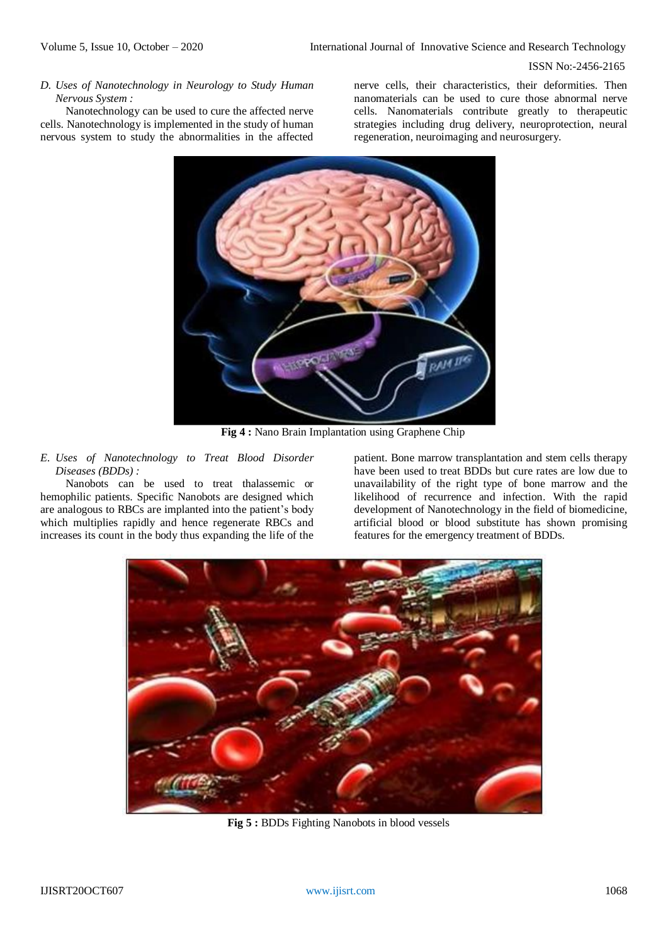#### ISSN No:-2456-2165

*D. Uses of Nanotechnology in Neurology to Study Human Nervous System :*

Nanotechnology can be used to cure the affected nerve cells. Nanotechnology is implemented in the study of human nervous system to study the abnormalities in the affected nerve cells, their characteristics, their deformities. Then nanomaterials can be used to cure those abnormal nerve cells. Nanomaterials contribute greatly to therapeutic strategies including drug delivery, neuroprotection, neural regeneration, neuroimaging and neurosurgery.



**Fig 4 :** Nano Brain Implantation using Graphene Chip

## *E. Uses of Nanotechnology to Treat Blood Disorder Diseases (BDDs) :*

Nanobots can be used to treat thalassemic or hemophilic patients. Specific Nanobots are designed which are analogous to RBCs are implanted into the patient's body which multiplies rapidly and hence regenerate RBCs and increases its count in the body thus expanding the life of the

patient. Bone marrow transplantation and stem cells therapy have been used to treat BDDs but cure rates are low due to unavailability of the right type of bone marrow and the likelihood of recurrence and infection. With the rapid development of Nanotechnology in the field of biomedicine, artificial blood or blood substitute has shown promising features for the emergency treatment of BDDs.



**Fig 5 :** BDDs Fighting Nanobots in blood vessels